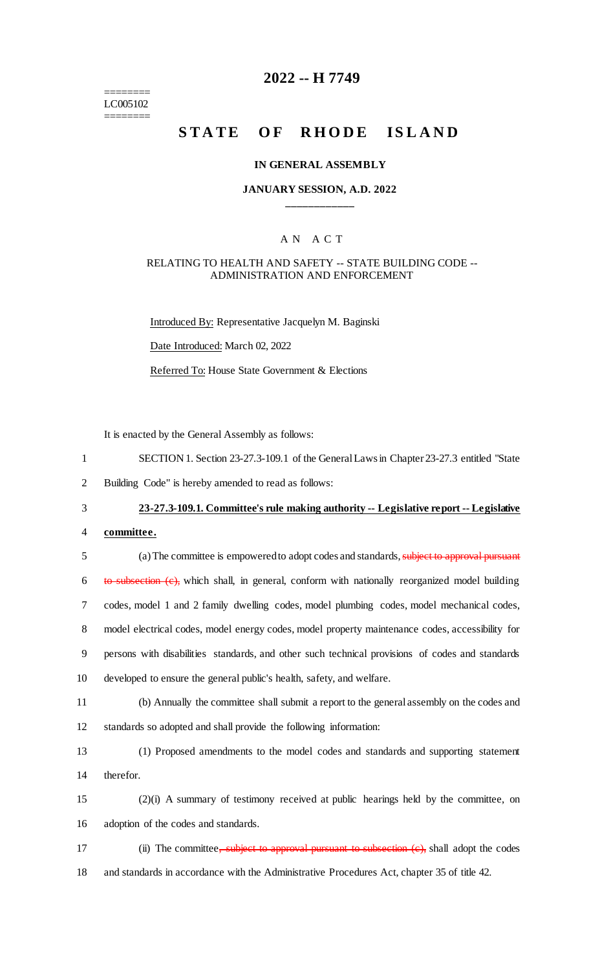======== LC005102 ========

# **2022 -- H 7749**

# **STATE OF RHODE ISLAND**

#### **IN GENERAL ASSEMBLY**

#### **JANUARY SESSION, A.D. 2022 \_\_\_\_\_\_\_\_\_\_\_\_**

### A N A C T

### RELATING TO HEALTH AND SAFETY -- STATE BUILDING CODE -- ADMINISTRATION AND ENFORCEMENT

Introduced By: Representative Jacquelyn M. Baginski Date Introduced: March 02, 2022 Referred To: House State Government & Elections

It is enacted by the General Assembly as follows:

- 1 SECTION 1. Section 23-27.3-109.1 of the General Laws in Chapter 23-27.3 entitled "State
- 2 Building Code" is hereby amended to read as follows:

# 3 **23-27.3-109.1. Committee's rule making authority -- Legislative report -- Legislative**

4 **committee.**

 (a) The committee is empowered to adopt codes and standards, subject to approval pursuant to subsection  $(c)$ , which shall, in general, conform with nationally reorganized model building codes, model 1 and 2 family dwelling codes, model plumbing codes, model mechanical codes, model electrical codes, model energy codes, model property maintenance codes, accessibility for persons with disabilities standards, and other such technical provisions of codes and standards developed to ensure the general public's health, safety, and welfare. (b) Annually the committee shall submit a report to the general assembly on the codes and

12 standards so adopted and shall provide the following information:

13 (1) Proposed amendments to the model codes and standards and supporting statement 14 therefor.

- 15 (2)(i) A summary of testimony received at public hearings held by the committee, on 16 adoption of the codes and standards.
- 17 (ii) The committee, subject to approval pursuant to subsection (e), shall adopt the codes
- 18 and standards in accordance with the Administrative Procedures Act, chapter 35 of title 42.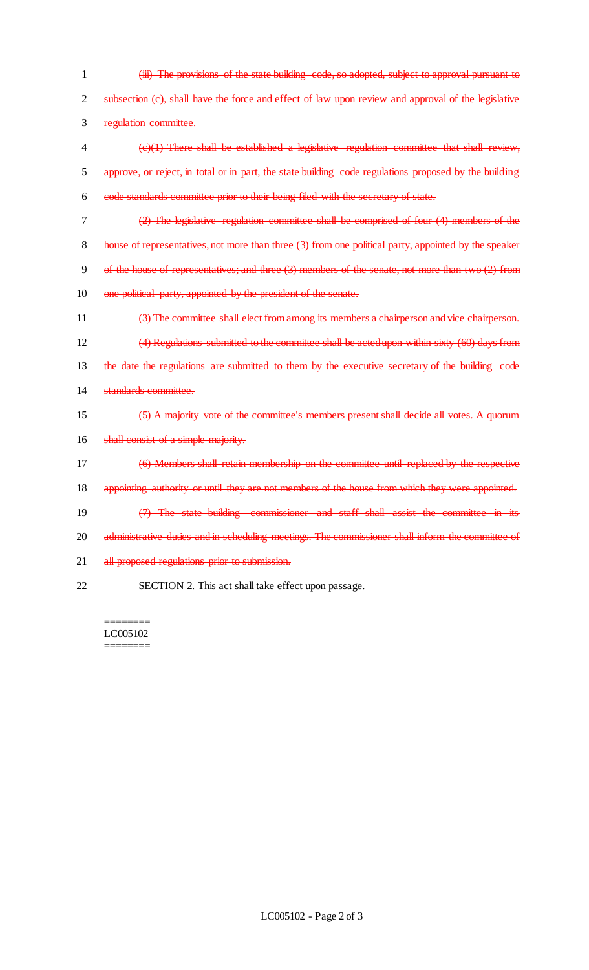(iii) The provisions of the state building code, so adopted, subject to approval pursuant to 2 subsection (c), shall have the force and effect of law upon review and approval of the legislative regulation committee. (c)(1) There shall be established a legislative regulation committee that shall review, approve, or reject, in total or in part, the state building code regulations proposed by the building code standards committee prior to their being filed with the secretary of state. (2) The legislative regulation committee shall be comprised of four (4) members of the 8 house of representatives, not more than three (3) from one political party, appointed by the speaker of the house of representatives; and three (3) members of the senate, not more than two (2) from 10 one political party, appointed by the president of the senate. (3) The committee shall elect from among its members a chairperson and vice chairperson. (4) Regulations submitted to the committee shall be acted upon within sixty (60) days from 13 the date the regulations are submitted to them by the executive secretary of the building code standards committee. (5) A majority vote of the committee's members present shall decide all votes. A quorum 16 shall consist of a simple majority. (6) Members shall retain membership on the committee until replaced by the respective 18 appointing authority or until they are not members of the house from which they were appointed. (7) The state building commissioner and staff shall assist the committee in its 20 administrative duties and in scheduling meetings. The commissioner shall inform the committee of 21 all proposed regulations prior to submission. SECTION 2. This act shall take effect upon passage.

======== LC005102 ========